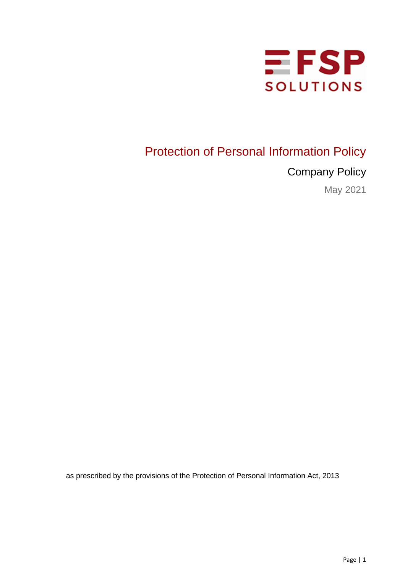

# Protection of Personal Information Policy

Company Policy

May 2021

as prescribed by the provisions of the Protection of Personal Information Act, 2013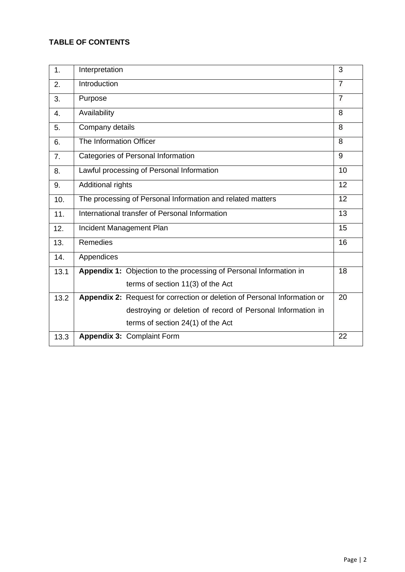## **TABLE OF CONTENTS**

| 1.             | Interpretation                                                            | 3              |  |
|----------------|---------------------------------------------------------------------------|----------------|--|
| 2.             | Introduction                                                              | 7              |  |
| 3.             | Purpose                                                                   | $\overline{7}$ |  |
| 4.             | Availability                                                              | 8              |  |
| 5.             | Company details                                                           | 8              |  |
| 6.             | The Information Officer                                                   | 8              |  |
| 7 <sub>1</sub> | Categories of Personal Information                                        | 9              |  |
| 8.             | Lawful processing of Personal Information                                 | 10             |  |
| 9.             | Additional rights                                                         | 12             |  |
| 10.            | The processing of Personal Information and related matters                | 12             |  |
| 11.            | International transfer of Personal Information<br>13                      |                |  |
| 12.            | Incident Management Plan                                                  | 15             |  |
| 13.            | <b>Remedies</b>                                                           | 16             |  |
| 14.            | Appendices                                                                |                |  |
| 13.1           | Appendix 1: Objection to the processing of Personal Information in        | 18             |  |
|                | terms of section 11(3) of the Act                                         |                |  |
| 13.2           | Appendix 2: Request for correction or deletion of Personal Information or | 20             |  |
|                | destroying or deletion of record of Personal Information in               |                |  |
|                | terms of section 24(1) of the Act                                         |                |  |
| 13.3           | Appendix 3: Complaint Form                                                | 22             |  |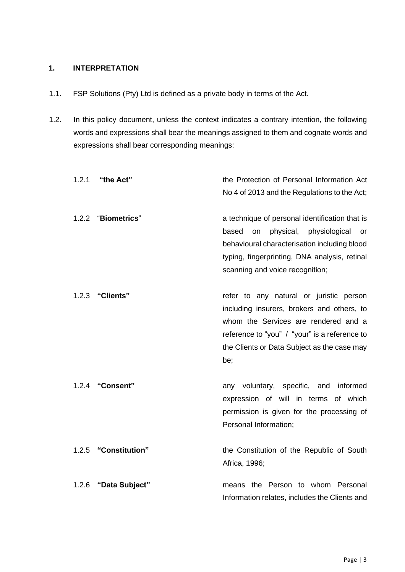#### **1. INTERPRETATION**

- 1.1. FSP Solutions (Pty) Ltd is defined as a private body in terms of the Act.
- 1.2. In this policy document, unless the context indicates a contrary intention, the following words and expressions shall bear the meanings assigned to them and cognate words and expressions shall bear corresponding meanings:

| 1.2.1 | "the Act"           | the Protection of Personal Information Act                                                   |
|-------|---------------------|----------------------------------------------------------------------------------------------|
|       |                     | No 4 of 2013 and the Regulations to the Act;                                                 |
| 1.2.2 | <b>"Biometrics"</b> | a technique of personal identification that is                                               |
|       |                     | physiological<br>based on physical,<br>or                                                    |
|       |                     | behavioural characterisation including blood                                                 |
|       |                     | typing, fingerprinting, DNA analysis, retinal<br>scanning and voice recognition;             |
| 1.2.3 | "Clients"           | refer to any natural or juristic person                                                      |
|       |                     | including insurers, brokers and others, to                                                   |
|       |                     | whom the Services are rendered and a                                                         |
|       |                     | reference to "you" / "your" is a reference to<br>the Clients or Data Subject as the case may |
|       |                     | be;                                                                                          |
|       | 1.2.4 "Consent"     | any voluntary, specific, and informed                                                        |
|       |                     | expression of will in terms of which                                                         |
|       |                     | permission is given for the processing of                                                    |
|       |                     | Personal Information;                                                                        |
| 1.2.5 | "Constitution"      | the Constitution of the Republic of South                                                    |
|       |                     | Africa, 1996;                                                                                |
| 1.2.6 | "Data Subject"      | means the Person to whom Personal                                                            |
|       |                     | Information relates, includes the Clients and                                                |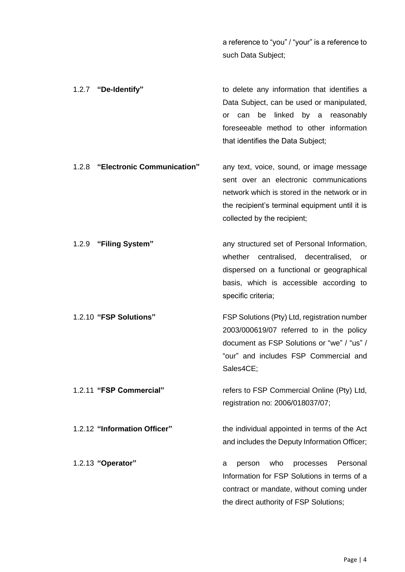a reference to "you" / "your" is a reference to such Data Subject;

| 1.2.7 "De-Identify" |  |  |                                   |  | to delete any information that identifies a |
|---------------------|--|--|-----------------------------------|--|---------------------------------------------|
|                     |  |  |                                   |  | Data Subject, can be used or manipulated,   |
|                     |  |  |                                   |  | or can be linked by a reasonably            |
|                     |  |  |                                   |  | foreseeable method to other information     |
|                     |  |  | that identifies the Data Subject; |  |                                             |
|                     |  |  |                                   |  |                                             |

- 1.2.8 **"Electronic Communication"** any text, voice, sound, or image message sent over an electronic communications network which is stored in the network or in the recipient's terminal equipment until it is collected by the recipient;
- 1.2.9 **"Filing System"** any structured set of Personal Information, whether centralised, decentralised, or dispersed on a functional or geographical basis, which is accessible according to specific criteria; 1.2.10 **"FSP Solutions"** FSP Solutions (Pty) Ltd, registration number
	- 2003/000619/07 referred to in the policy document as FSP Solutions or "we" / "us" / "our" and includes FSP Commercial and Sales4CE;

1.2.11 **"FSP Commercial"** refers to FSP Commercial Online (Pty) Ltd, registration no: 2006/018037/07;

1.2.12 **"Information Officer"** the individual appointed in terms of the Act and includes the Deputy Information Officer;

1.2.13 **"Operator"** a person who processes Personal Information for FSP Solutions in terms of a contract or mandate, without coming under the direct authority of FSP Solutions;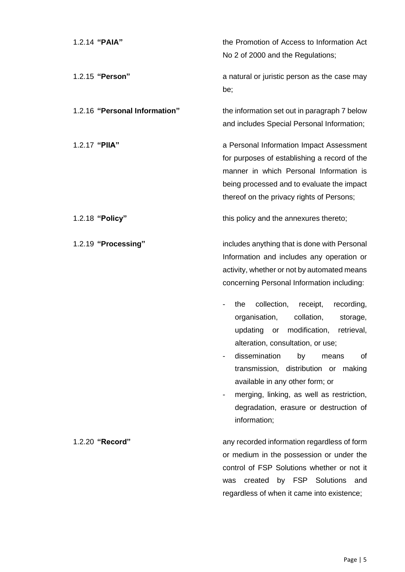| 1.2.14 "PAIA"                 | the Promotion of Access to Information Act<br>No 2 of 2000 and the Regulations;                                                                                                                                                                                                                                                                                                                       |
|-------------------------------|-------------------------------------------------------------------------------------------------------------------------------------------------------------------------------------------------------------------------------------------------------------------------------------------------------------------------------------------------------------------------------------------------------|
| 1.2.15 "Person"               | a natural or juristic person as the case may<br>be;                                                                                                                                                                                                                                                                                                                                                   |
| 1.2.16 "Personal Information" | the information set out in paragraph 7 below<br>and includes Special Personal Information;                                                                                                                                                                                                                                                                                                            |
| 1.2.17 "PIIA"                 | a Personal Information Impact Assessment<br>for purposes of establishing a record of the<br>manner in which Personal Information is<br>being processed and to evaluate the impact<br>thereof on the privacy rights of Persons;                                                                                                                                                                        |
| 1.2.18 "Policy"               | this policy and the annexures thereto;                                                                                                                                                                                                                                                                                                                                                                |
| 1.2.19 "Processing"           | includes anything that is done with Personal<br>Information and includes any operation or<br>activity, whether or not by automated means<br>concerning Personal Information including:                                                                                                                                                                                                                |
|                               | collection,<br>recording,<br>receipt,<br>the<br>organisation,<br>collation,<br>storage,<br>updating<br>modification,<br>retrieval.<br>or<br>alteration, consultation, or use;<br>dissemination<br>of<br>by<br>means<br>transmission, distribution or making<br>available in any other form; or<br>merging, linking, as well as restriction,<br>degradation, erasure or destruction of<br>information; |
| 1.2.20 "Record"               | any recorded information regardless of form                                                                                                                                                                                                                                                                                                                                                           |

or medium in the possession or under the control of FSP Solutions whether or not it was created by FSP Solutions and regardless of when it came into existence;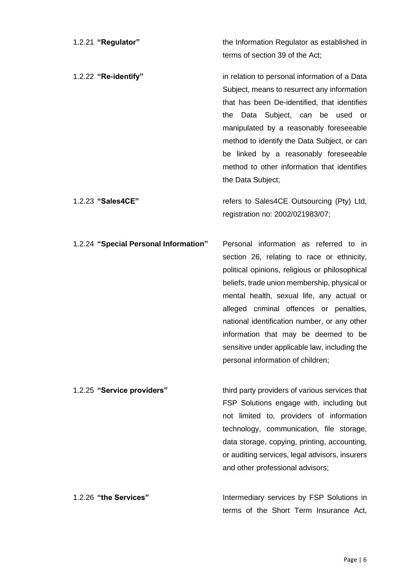| 1.2.21 "Regulator"                    | the Information Regulator as established in<br>terms of section 39 of the Act;                                                                                                                                                                                                                                                                                                                                                                               |
|---------------------------------------|--------------------------------------------------------------------------------------------------------------------------------------------------------------------------------------------------------------------------------------------------------------------------------------------------------------------------------------------------------------------------------------------------------------------------------------------------------------|
| 1.2.22 "Re-identify"                  | in relation to personal information of a Data<br>Subject, means to resurrect any information<br>that has been De-identified, that identifies<br>Data Subject, can be used<br>the<br>or<br>manipulated by a reasonably foreseeable<br>method to identify the Data Subject, or can<br>be linked by a reasonably foreseeable<br>method to other information that identifies<br>the Data Subject;                                                                |
| 1.2.23 "Sales4CE"                     | refers to Sales4CE Outsourcing (Pty) Ltd,<br>registration no: 2002/021983/07;                                                                                                                                                                                                                                                                                                                                                                                |
| 1.2.24 "Special Personal Information" | Personal information as referred to in<br>section 26, relating to race or ethnicity,<br>political opinions, religious or philosophical<br>beliefs, trade union membership, physical or<br>mental health, sexual life, any actual or<br>alleged criminal offences or penalties,<br>national identification number, or any other<br>information that may be deemed to be<br>sensitive under applicable law, including the<br>personal information of children; |
| 1.2.25 "Service providers"            | third party providers of various services that<br>FSP Solutions engage with, including but<br>not limited to, providers of information<br>technology, communication, file storage,<br>data storage, copying, printing, accounting,<br>or auditing services, legal advisors, insurers<br>and other professional advisors;                                                                                                                                     |
| 1.2.26 "the Services"                 | Intermediary services by FSP Solutions in<br>terms of the Short Term Insurance Act,                                                                                                                                                                                                                                                                                                                                                                          |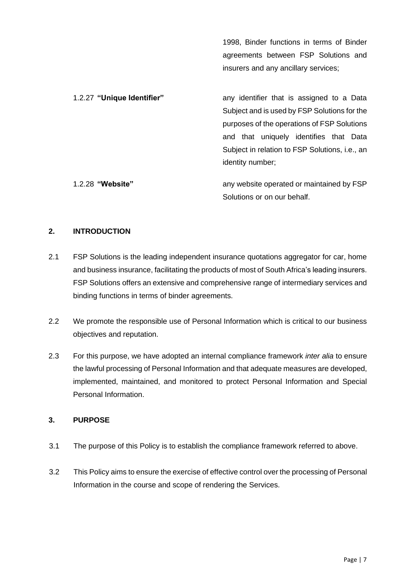1998, Binder functions in terms of Binder agreements between FSP Solutions and insurers and any ancillary services;

1.2.27 **"Unique Identifier"** any identifier that is assigned to a Data Subject and is used by FSP Solutions for the purposes of the operations of FSP Solutions and that uniquely identifies that Data Subject in relation to FSP Solutions, i.e., an identity number;

1.2.28 **"Website"** any website operated or maintained by FSP Solutions or on our behalf.

#### **2. INTRODUCTION**

- 2.1 FSP Solutions is the leading independent insurance quotations aggregator for car, home and business insurance, facilitating the products of most of South Africa's leading insurers. FSP Solutions offers an extensive and comprehensive range of intermediary services and binding functions in terms of binder agreements.
- 2.2 We promote the responsible use of Personal Information which is critical to our business objectives and reputation.
- 2.3 For this purpose, we have adopted an internal compliance framework *inter alia* to ensure the lawful processing of Personal Information and that adequate measures are developed, implemented, maintained, and monitored to protect Personal Information and Special Personal Information.

#### **3. PURPOSE**

- 3.1 The purpose of this Policy is to establish the compliance framework referred to above.
- 3.2 This Policy aims to ensure the exercise of effective control over the processing of Personal Information in the course and scope of rendering the Services.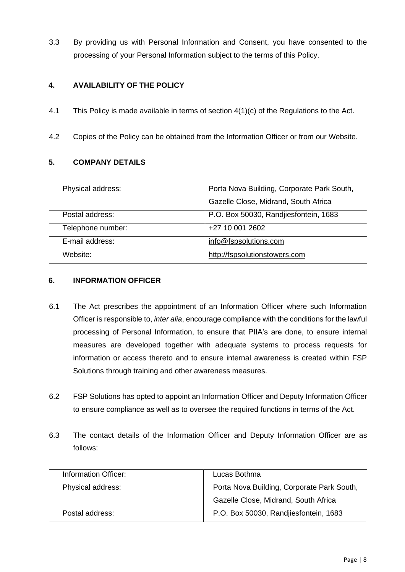3.3 By providing us with Personal Information and Consent, you have consented to the processing of your Personal Information subject to the terms of this Policy.

#### **4. AVAILABILITY OF THE POLICY**

- 4.1 This Policy is made available in terms of section 4(1)(c) of the Regulations to the Act.
- 4.2 Copies of the Policy can be obtained from the Information Officer or from our Website.

#### **5. COMPANY DETAILS**

| Physical address: | Porta Nova Building, Corporate Park South, |
|-------------------|--------------------------------------------|
|                   | Gazelle Close, Midrand, South Africa       |
| Postal address:   | P.O. Box 50030, Randjiesfontein, 1683      |
| Telephone number: | +27 10 001 2602                            |
| E-mail address:   | info@fspsolutions.com                      |
| Website:          | http://fspsolutionstowers.com              |

#### **6. INFORMATION OFFICER**

- 6.1 The Act prescribes the appointment of an Information Officer where such Information Officer is responsible to, *inter alia*, encourage compliance with the conditions for the lawful processing of Personal Information, to ensure that PIIA's are done, to ensure internal measures are developed together with adequate systems to process requests for information or access thereto and to ensure internal awareness is created within FSP Solutions through training and other awareness measures.
- 6.2 FSP Solutions has opted to appoint an Information Officer and Deputy Information Officer to ensure compliance as well as to oversee the required functions in terms of the Act.
- 6.3 The contact details of the Information Officer and Deputy Information Officer are as follows:

| Information Officer: | Lucas Bothma                               |
|----------------------|--------------------------------------------|
| Physical address:    | Porta Nova Building, Corporate Park South, |
|                      | Gazelle Close, Midrand, South Africa       |
| Postal address:      | P.O. Box 50030, Randjiesfontein, 1683      |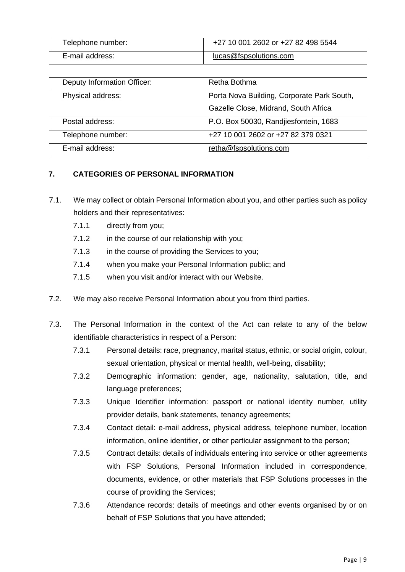| Telephone number: | +27 10 001 2602 or +27 82 498 5544 |
|-------------------|------------------------------------|
| E-mail address:   | lucas@fspsolutions.com             |

| <b>Deputy Information Officer:</b> | Retha Bothma                               |
|------------------------------------|--------------------------------------------|
| Physical address:                  | Porta Nova Building, Corporate Park South, |
|                                    | Gazelle Close, Midrand, South Africa       |
| Postal address:                    | P.O. Box 50030, Randjiesfontein, 1683      |
| Telephone number:                  | +27 10 001 2602 or +27 82 379 0321         |
| E-mail address:                    | retha@fspsolutions.com                     |

#### **7. CATEGORIES OF PERSONAL INFORMATION**

- 7.1. We may collect or obtain Personal Information about you, and other parties such as policy holders and their representatives:
	- 7.1.1 directly from you;
	- 7.1.2 in the course of our relationship with you;
	- 7.1.3 in the course of providing the Services to you;
	- 7.1.4 when you make your Personal Information public; and
	- 7.1.5 when you visit and/or interact with our Website.
- 7.2. We may also receive Personal Information about you from third parties.
- 7.3. The Personal Information in the context of the Act can relate to any of the below identifiable characteristics in respect of a Person:
	- 7.3.1 Personal details: race, pregnancy, marital status, ethnic, or social origin, colour, sexual orientation, physical or mental health, well-being, disability;
	- 7.3.2 Demographic information: gender, age, nationality, salutation, title, and language preferences;
	- 7.3.3 Unique Identifier information: passport or national identity number, utility provider details, bank statements, tenancy agreements;
	- 7.3.4 Contact detail: e-mail address, physical address, telephone number, location information, online identifier, or other particular assignment to the person;
	- 7.3.5 Contract details: details of individuals entering into service or other agreements with FSP Solutions, Personal Information included in correspondence, documents, evidence, or other materials that FSP Solutions processes in the course of providing the Services;
	- 7.3.6 Attendance records: details of meetings and other events organised by or on behalf of FSP Solutions that you have attended;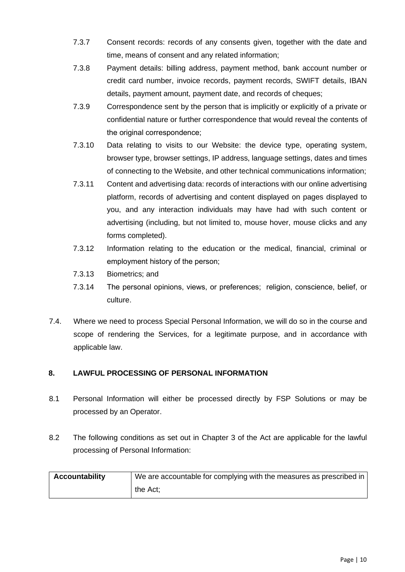- 7.3.7 Consent records: records of any consents given, together with the date and time, means of consent and any related information;
- 7.3.8 Payment details: billing address, payment method, bank account number or credit card number, invoice records, payment records, SWIFT details, IBAN details, payment amount, payment date, and records of cheques;
- 7.3.9 Correspondence sent by the person that is implicitly or explicitly of a private or confidential nature or further correspondence that would reveal the contents of the original correspondence;
- 7.3.10 Data relating to visits to our Website: the device type, operating system, browser type, browser settings, IP address, language settings, dates and times of connecting to the Website, and other technical communications information;
- 7.3.11 Content and advertising data: records of interactions with our online advertising platform, records of advertising and content displayed on pages displayed to you, and any interaction individuals may have had with such content or advertising (including, but not limited to, mouse hover, mouse clicks and any forms completed).
- 7.3.12 Information relating to the education or the medical, financial, criminal or employment history of the person;
- 7.3.13 Biometrics; and
- 7.3.14 The personal opinions, views, or preferences; religion, conscience, belief, or culture.
- 7.4. Where we need to process Special Personal Information, we will do so in the course and scope of rendering the Services, for a legitimate purpose, and in accordance with applicable law.

#### **8. LAWFUL PROCESSING OF PERSONAL INFORMATION**

- 8.1 Personal Information will either be processed directly by FSP Solutions or may be processed by an Operator.
- 8.2 The following conditions as set out in Chapter 3 of the Act are applicable for the lawful processing of Personal Information:

| <b>Accountability</b> | We are accountable for complying with the measures as prescribed in |  |
|-----------------------|---------------------------------------------------------------------|--|
|                       | the Act:                                                            |  |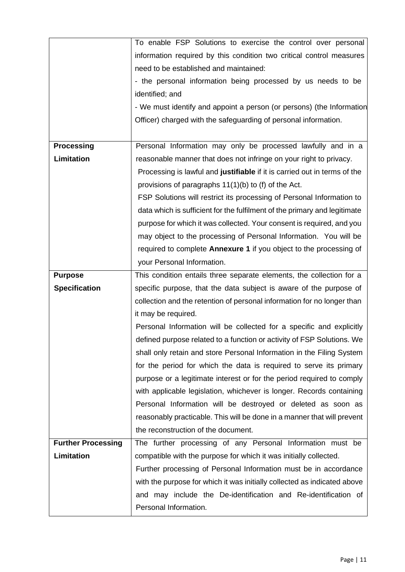|                           | To enable FSP Solutions to exercise the control over personal             |  |  |
|---------------------------|---------------------------------------------------------------------------|--|--|
|                           | information required by this condition two critical control measures      |  |  |
|                           | need to be established and maintained:                                    |  |  |
|                           | - the personal information being processed by us needs to be              |  |  |
|                           | identified; and                                                           |  |  |
|                           | - We must identify and appoint a person (or persons) (the Information     |  |  |
|                           | Officer) charged with the safeguarding of personal information.           |  |  |
|                           |                                                                           |  |  |
| <b>Processing</b>         | Personal Information may only be processed lawfully and in a              |  |  |
| <b>Limitation</b>         | reasonable manner that does not infringe on your right to privacy.        |  |  |
|                           | Processing is lawful and justifiable if it is carried out in terms of the |  |  |
|                           | provisions of paragraphs 11(1)(b) to (f) of the Act.                      |  |  |
|                           | FSP Solutions will restrict its processing of Personal Information to     |  |  |
|                           | data which is sufficient for the fulfilment of the primary and legitimate |  |  |
|                           | purpose for which it was collected. Your consent is required, and you     |  |  |
|                           | may object to the processing of Personal Information. You will be         |  |  |
|                           | required to complete Annexure 1 if you object to the processing of        |  |  |
|                           | your Personal Information.                                                |  |  |
| <b>Purpose</b>            | This condition entails three separate elements, the collection for a      |  |  |
| <b>Specification</b>      | specific purpose, that the data subject is aware of the purpose of        |  |  |
|                           | collection and the retention of personal information for no longer than   |  |  |
|                           | it may be required.                                                       |  |  |
|                           | Personal Information will be collected for a specific and explicitly      |  |  |
|                           | defined purpose related to a function or activity of FSP Solutions. We    |  |  |
|                           | shall only retain and store Personal Information in the Filing System     |  |  |
|                           | for the period for which the data is required to serve its primary        |  |  |
|                           | purpose or a legitimate interest or for the period required to comply     |  |  |
|                           | with applicable legislation, whichever is longer. Records containing      |  |  |
|                           | Personal Information will be destroyed or deleted as soon as              |  |  |
|                           | reasonably practicable. This will be done in a manner that will prevent   |  |  |
|                           | the reconstruction of the document.                                       |  |  |
| <b>Further Processing</b> | The further processing of any Personal Information must be                |  |  |
| Limitation                | compatible with the purpose for which it was initially collected.         |  |  |
|                           | Further processing of Personal Information must be in accordance          |  |  |
|                           | with the purpose for which it was initially collected as indicated above  |  |  |
|                           | and may include the De-identification and Re-identification of            |  |  |
|                           | Personal Information.                                                     |  |  |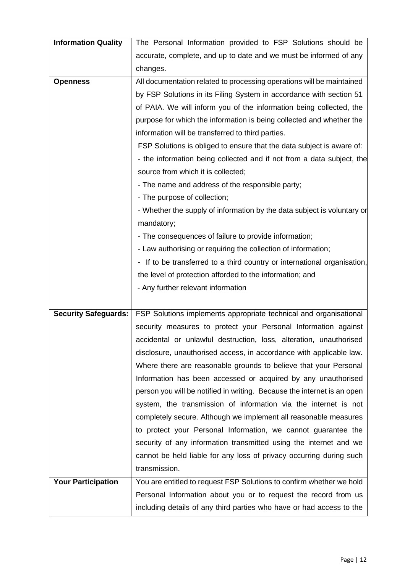| <b>Information Quality</b>  | The Personal Information provided to FSP Solutions should be             |
|-----------------------------|--------------------------------------------------------------------------|
|                             | accurate, complete, and up to date and we must be informed of any        |
|                             | changes.                                                                 |
| <b>Openness</b>             | All documentation related to processing operations will be maintained    |
|                             | by FSP Solutions in its Filing System in accordance with section 51      |
|                             | of PAIA. We will inform you of the information being collected, the      |
|                             | purpose for which the information is being collected and whether the     |
|                             | information will be transferred to third parties.                        |
|                             | FSP Solutions is obliged to ensure that the data subject is aware of:    |
|                             | - the information being collected and if not from a data subject, the    |
|                             | source from which it is collected;                                       |
|                             | - The name and address of the responsible party;                         |
|                             | - The purpose of collection;                                             |
|                             | - Whether the supply of information by the data subject is voluntary or  |
|                             | mandatory;                                                               |
|                             | - The consequences of failure to provide information;                    |
|                             | - Law authorising or requiring the collection of information;            |
|                             | - If to be transferred to a third country or international organisation, |
|                             | the level of protection afforded to the information; and                 |
|                             | - Any further relevant information                                       |
|                             |                                                                          |
| <b>Security Safeguards:</b> | FSP Solutions implements appropriate technical and organisational        |
|                             | security measures to protect your Personal Information against           |
|                             | accidental or unlawful destruction, loss, alteration, unauthorised       |
|                             | disclosure, unauthorised access, in accordance with applicable law.      |
|                             | Where there are reasonable grounds to believe that your Personal         |
|                             | Information has been accessed or acquired by any unauthorised            |
|                             | person you will be notified in writing. Because the internet is an open  |
|                             | system, the transmission of information via the internet is not          |
|                             | completely secure. Although we implement all reasonable measures         |
|                             | to protect your Personal Information, we cannot guarantee the            |
|                             | security of any information transmitted using the internet and we        |
|                             | cannot be held liable for any loss of privacy occurring during such      |
|                             | transmission.                                                            |
| <b>Your Participation</b>   | You are entitled to request FSP Solutions to confirm whether we hold     |
|                             | Personal Information about you or to request the record from us          |
|                             | including details of any third parties who have or had access to the     |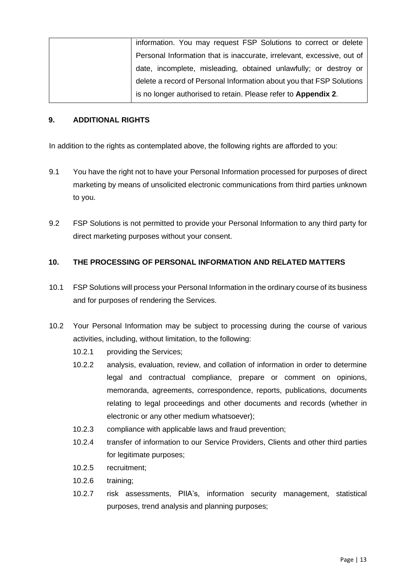| information. You may request FSP Solutions to correct or delete        |
|------------------------------------------------------------------------|
| Personal Information that is inaccurate, irrelevant, excessive, out of |
| date, incomplete, misleading, obtained unlawfully; or destroy or       |
| delete a record of Personal Information about you that FSP Solutions   |
| is no longer authorised to retain. Please refer to Appendix 2.         |

#### **9. ADDITIONAL RIGHTS**

In addition to the rights as contemplated above, the following rights are afforded to you:

- 9.1 You have the right not to have your Personal Information processed for purposes of direct marketing by means of unsolicited electronic communications from third parties unknown to you.
- 9.2 FSP Solutions is not permitted to provide your Personal Information to any third party for direct marketing purposes without your consent.

#### **10. THE PROCESSING OF PERSONAL INFORMATION AND RELATED MATTERS**

- 10.1 FSP Solutions will process your Personal Information in the ordinary course of its business and for purposes of rendering the Services.
- 10.2 Your Personal Information may be subject to processing during the course of various activities, including, without limitation, to the following:
	- 10.2.1 providing the Services;
	- 10.2.2 analysis, evaluation, review, and collation of information in order to determine legal and contractual compliance, prepare or comment on opinions, memoranda, agreements, correspondence, reports, publications, documents relating to legal proceedings and other documents and records (whether in electronic or any other medium whatsoever);
	- 10.2.3 compliance with applicable laws and fraud prevention;
	- 10.2.4 transfer of information to our Service Providers, Clients and other third parties for legitimate purposes;
	- 10.2.5 recruitment;
	- 10.2.6 training;
	- 10.2.7 risk assessments, PIIA's, information security management, statistical purposes, trend analysis and planning purposes;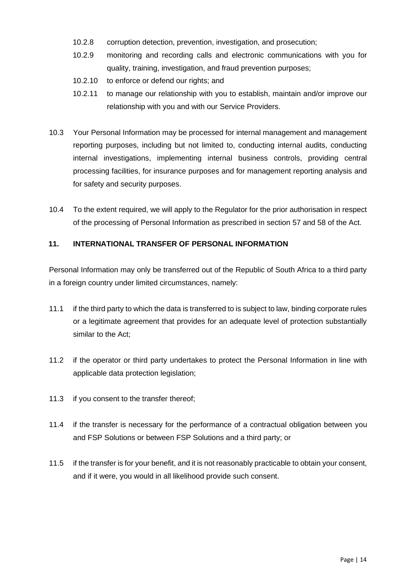- 10.2.8 corruption detection, prevention, investigation, and prosecution;
- 10.2.9 monitoring and recording calls and electronic communications with you for quality, training, investigation, and fraud prevention purposes;
- 10.2.10 to enforce or defend our rights; and
- 10.2.11 to manage our relationship with you to establish, maintain and/or improve our relationship with you and with our Service Providers.
- 10.3 Your Personal Information may be processed for internal management and management reporting purposes, including but not limited to, conducting internal audits, conducting internal investigations, implementing internal business controls, providing central processing facilities, for insurance purposes and for management reporting analysis and for safety and security purposes.
- 10.4 To the extent required, we will apply to the Regulator for the prior authorisation in respect of the processing of Personal Information as prescribed in section 57 and 58 of the Act.

#### **11. INTERNATIONAL TRANSFER OF PERSONAL INFORMATION**

Personal Information may only be transferred out of the Republic of South Africa to a third party in a foreign country under limited circumstances, namely:

- 11.1 if the third party to which the data is transferred to is subject to law, binding corporate rules or a legitimate agreement that provides for an adequate level of protection substantially similar to the Act;
- 11.2 if the operator or third party undertakes to protect the Personal Information in line with applicable data protection legislation;
- 11.3 if you consent to the transfer thereof;
- 11.4 if the transfer is necessary for the performance of a contractual obligation between you and FSP Solutions or between FSP Solutions and a third party; or
- 11.5 if the transfer is for your benefit, and it is not reasonably practicable to obtain your consent, and if it were, you would in all likelihood provide such consent.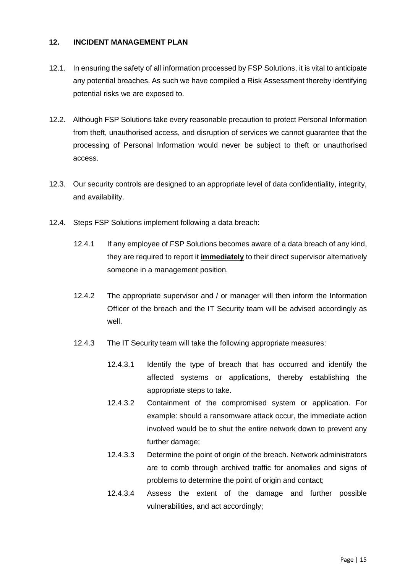#### **12. INCIDENT MANAGEMENT PLAN**

- 12.1. In ensuring the safety of all information processed by FSP Solutions, it is vital to anticipate any potential breaches. As such we have compiled a Risk Assessment thereby identifying potential risks we are exposed to.
- 12.2. Although FSP Solutions take every reasonable precaution to protect Personal Information from theft, unauthorised access, and disruption of services we cannot guarantee that the processing of Personal Information would never be subject to theft or unauthorised access.
- 12.3. Our security controls are designed to an appropriate level of data confidentiality, integrity, and availability.
- 12.4. Steps FSP Solutions implement following a data breach:
	- 12.4.1 If any employee of FSP Solutions becomes aware of a data breach of any kind, they are required to report it **immediately** to their direct supervisor alternatively someone in a management position.
	- 12.4.2 The appropriate supervisor and / or manager will then inform the Information Officer of the breach and the IT Security team will be advised accordingly as well.
	- 12.4.3 The IT Security team will take the following appropriate measures:
		- 12.4.3.1 Identify the type of breach that has occurred and identify the affected systems or applications, thereby establishing the appropriate steps to take.
		- 12.4.3.2 Containment of the compromised system or application. For example: should a ransomware attack occur, the immediate action involved would be to shut the entire network down to prevent any further damage;
		- 12.4.3.3 Determine the point of origin of the breach. Network administrators are to comb through archived traffic for anomalies and signs of problems to determine the point of origin and contact;
		- 12.4.3.4 Assess the extent of the damage and further possible vulnerabilities, and act accordingly;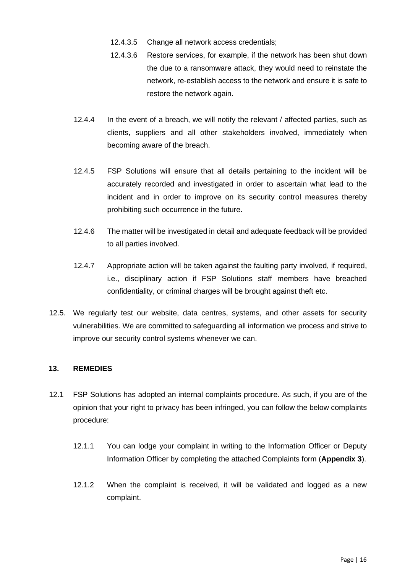- 12.4.3.5 Change all network access credentials;
- 12.4.3.6 Restore services, for example, if the network has been shut down the due to a ransomware attack, they would need to reinstate the network, re-establish access to the network and ensure it is safe to restore the network again.
- 12.4.4 In the event of a breach, we will notify the relevant / affected parties, such as clients, suppliers and all other stakeholders involved, immediately when becoming aware of the breach.
- 12.4.5 FSP Solutions will ensure that all details pertaining to the incident will be accurately recorded and investigated in order to ascertain what lead to the incident and in order to improve on its security control measures thereby prohibiting such occurrence in the future.
- 12.4.6 The matter will be investigated in detail and adequate feedback will be provided to all parties involved.
- 12.4.7 Appropriate action will be taken against the faulting party involved, if required, i.e., disciplinary action if FSP Solutions staff members have breached confidentiality, or criminal charges will be brought against theft etc.
- 12.5. We regularly test our website, data centres, systems, and other assets for security vulnerabilities. We are committed to safeguarding all information we process and strive to improve our security control systems whenever we can.

#### **13. REMEDIES**

- 12.1 FSP Solutions has adopted an internal complaints procedure. As such, if you are of the opinion that your right to privacy has been infringed, you can follow the below complaints procedure:
	- 12.1.1 You can lodge your complaint in writing to the Information Officer or Deputy Information Officer by completing the attached Complaints form (**Appendix 3**).
	- 12.1.2 When the complaint is received, it will be validated and logged as a new complaint.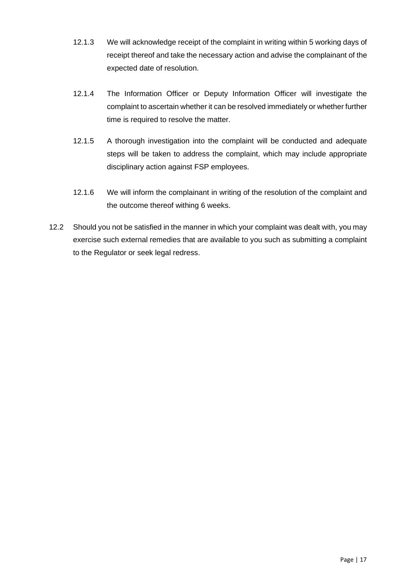- 12.1.3 We will acknowledge receipt of the complaint in writing within 5 working days of receipt thereof and take the necessary action and advise the complainant of the expected date of resolution.
- 12.1.4 The Information Officer or Deputy Information Officer will investigate the complaint to ascertain whether it can be resolved immediately or whether further time is required to resolve the matter.
- 12.1.5 A thorough investigation into the complaint will be conducted and adequate steps will be taken to address the complaint, which may include appropriate disciplinary action against FSP employees.
- 12.1.6 We will inform the complainant in writing of the resolution of the complaint and the outcome thereof withing 6 weeks.
- 12.2 Should you not be satisfied in the manner in which your complaint was dealt with, you may exercise such external remedies that are available to you such as submitting a complaint to the Regulator or seek legal redress.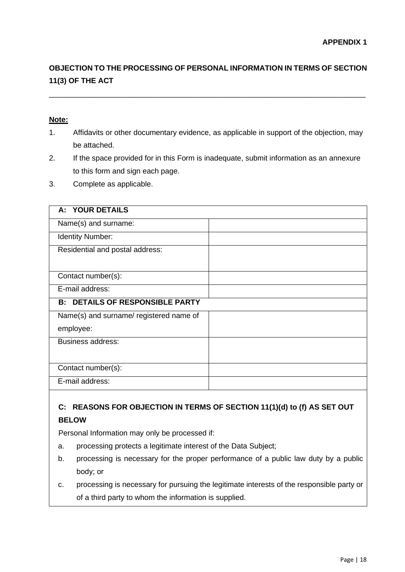# **OBJECTION TO THE PROCESSING OF PERSONAL INFORMATION IN TERMS OF SECTION 11(3) OF THE ACT**

\_\_\_\_\_\_\_\_\_\_\_\_\_\_\_\_\_\_\_\_\_\_\_\_\_\_\_\_\_\_\_\_\_\_\_\_\_\_\_\_\_\_\_\_\_\_\_\_\_\_\_\_\_\_\_\_\_\_\_\_\_\_\_\_\_\_\_\_\_\_\_\_\_\_\_\_

#### **Note:**

- 1. Affidavits or other documentary evidence, as applicable in support of the objection, may be attached.
- 2. If the space provided for in this Form is inadequate, submit information as an annexure to this form and sign each page.
- 3. Complete as applicable.

| A: YOUR DETAILS                         |  |
|-----------------------------------------|--|
| Name(s) and surname:                    |  |
| Identity Number:                        |  |
| Residential and postal address:         |  |
|                                         |  |
| Contact number(s):                      |  |
| E-mail address:                         |  |
|                                         |  |
| <b>B: DETAILS OF RESPONSIBLE PARTY</b>  |  |
| Name(s) and surname/ registered name of |  |
| employee:                               |  |
| <b>Business address:</b>                |  |
|                                         |  |
| Contact number(s):                      |  |

# **C: REASONS FOR OBJECTION IN TERMS OF SECTION 11(1)(d) to (f) AS SET OUT BELOW**

Personal Information may only be processed if:

- a. processing protects a legitimate interest of the Data Subject;
- b. processing is necessary for the proper performance of a public law duty by a public body; or
- c. processing is necessary for pursuing the legitimate interests of the responsible party or of a third party to whom the information is supplied.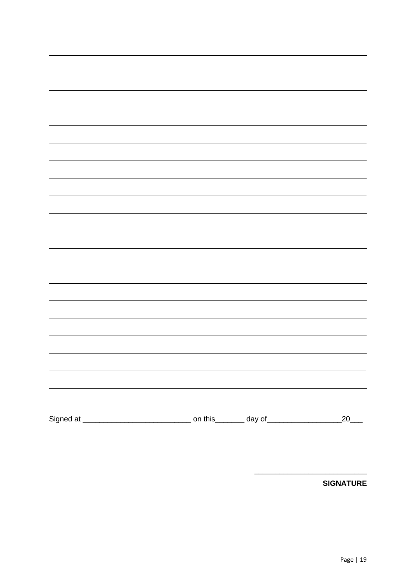Signed at \_\_\_\_\_\_\_\_\_\_\_\_\_\_\_\_\_\_\_\_\_\_\_\_\_\_ on this\_\_\_\_\_\_\_ day of\_\_\_\_\_\_\_\_\_\_\_\_\_\_\_\_\_\_20\_\_\_

**SIGNATURE**

\_\_\_\_\_\_\_\_\_\_\_\_\_\_\_\_\_\_\_\_\_\_\_\_\_\_\_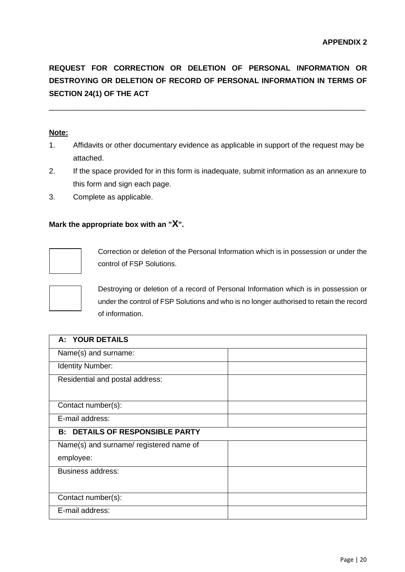**REQUEST FOR CORRECTION OR DELETION OF PERSONAL INFORMATION OR DESTROYING OR DELETION OF RECORD OF PERSONAL INFORMATION IN TERMS OF SECTION 24(1) OF THE ACT** 

\_\_\_\_\_\_\_\_\_\_\_\_\_\_\_\_\_\_\_\_\_\_\_\_\_\_\_\_\_\_\_\_\_\_\_\_\_\_\_\_\_\_\_\_\_\_\_\_\_\_\_\_\_\_\_\_\_\_\_\_\_\_\_\_\_\_\_\_\_\_\_\_\_\_\_\_

#### **Note:**

- 1. Affidavits or other documentary evidence as applicable in support of the request may be attached.
- 2. If the space provided for in this form is inadequate, submit information as an annexure to this form and sign each page.
- 3. Complete as applicable.

#### **Mark the appropriate box with an "X".**



Correction or deletion of the Personal Information which is in possession or under the control of FSP Solutions.



Destroying or deletion of a record of Personal Information which is in possession or under the control of FSP Solutions and who is no longer authorised to retain the record of information.

| A: YOUR DETAILS                         |  |
|-----------------------------------------|--|
| Name(s) and surname:                    |  |
| Identity Number:                        |  |
| Residential and postal address:         |  |
| Contact number(s):                      |  |
| E-mail address:                         |  |
| <b>B: DETAILS OF RESPONSIBLE PARTY</b>  |  |
| Name(s) and surname/ registered name of |  |
| employee:                               |  |
| <b>Business address:</b>                |  |
| Contact number(s):                      |  |
| E-mail address:                         |  |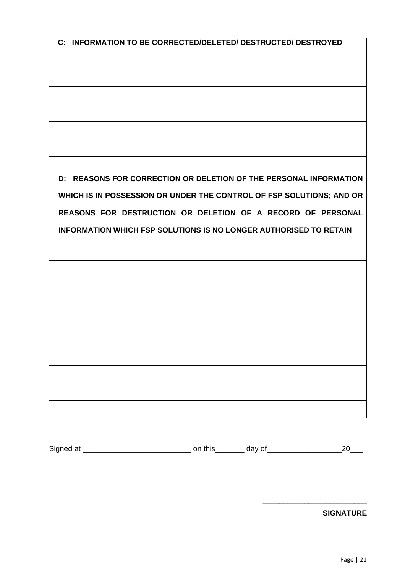| C: INFORMATION TO BE CORRECTED/DELETED/ DESTRUCTED/ DESTROYED            |
|--------------------------------------------------------------------------|
|                                                                          |
|                                                                          |
|                                                                          |
|                                                                          |
|                                                                          |
|                                                                          |
|                                                                          |
|                                                                          |
| D: REASONS FOR CORRECTION OR DELETION OF THE PERSONAL INFORMATION        |
| WHICH IS IN POSSESSION OR UNDER THE CONTROL OF FSP SOLUTIONS; AND OR     |
| REASONS FOR DESTRUCTION OR DELETION OF A RECORD OF PERSONAL              |
| <b>INFORMATION WHICH FSP SOLUTIONS IS NO LONGER AUTHORISED TO RETAIN</b> |
|                                                                          |
|                                                                          |
|                                                                          |
|                                                                          |
|                                                                          |
|                                                                          |
|                                                                          |
|                                                                          |
|                                                                          |
|                                                                          |
|                                                                          |

| Signed<br>w<br>. . | -- | المستقلة المتنازل<br>٦r |  |  |
|--------------------|----|-------------------------|--|--|
|--------------------|----|-------------------------|--|--|

**SIGNATURE**

\_\_\_\_\_\_\_\_\_\_\_\_\_\_\_\_\_\_\_\_\_\_\_\_\_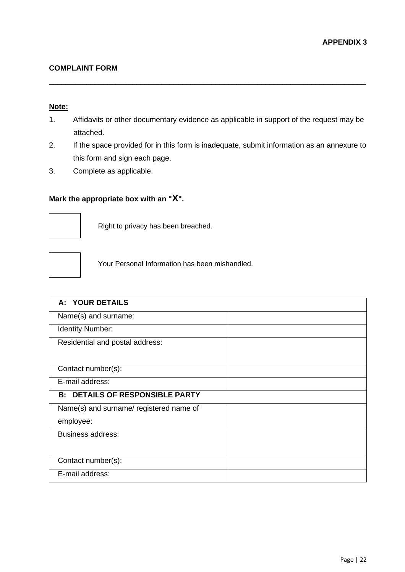#### **COMPLAINT FORM**

#### **Note:**

1. Affidavits or other documentary evidence as applicable in support of the request may be attached.

\_\_\_\_\_\_\_\_\_\_\_\_\_\_\_\_\_\_\_\_\_\_\_\_\_\_\_\_\_\_\_\_\_\_\_\_\_\_\_\_\_\_\_\_\_\_\_\_\_\_\_\_\_\_\_\_\_\_\_\_\_\_\_\_\_\_\_\_\_\_\_\_\_\_\_\_

- 2. If the space provided for in this form is inadequate, submit information as an annexure to this form and sign each page.
- 3. Complete as applicable.

## **Mark the appropriate box with an "X".**



Right to privacy has been breached.



Your Personal Information has been mishandled.

| A: YOUR DETAILS                         |  |
|-----------------------------------------|--|
| Name(s) and surname:                    |  |
| Identity Number:                        |  |
| Residential and postal address:         |  |
| Contact number(s):                      |  |
| E-mail address:                         |  |
| <b>B: DETAILS OF RESPONSIBLE PARTY</b>  |  |
| Name(s) and surname/ registered name of |  |
| employee:                               |  |
| <b>Business address:</b>                |  |
| Contact number(s):                      |  |
| E-mail address:                         |  |